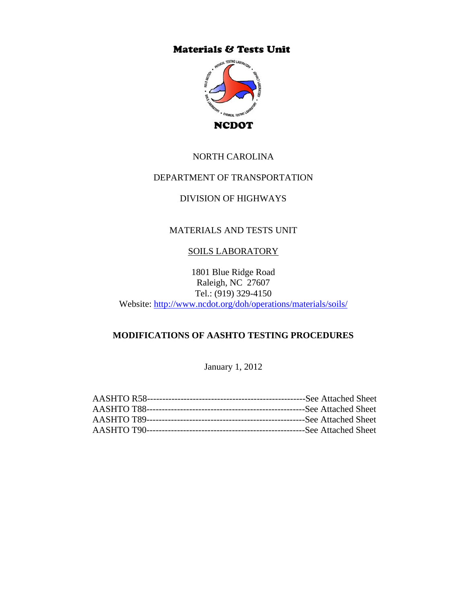# **Materials & Tests Unit**



## NORTH CAROLINA

## DEPARTMENT OF TRANSPORTATION

# DIVISION OF HIGHWAYS

## MATERIALS AND TESTS UNIT

## SOILS LABORATORY

1801 Blue Ridge Road Raleigh, NC 27607 Tel.: (919) 329-4150 Website: http://www.ncdot.org/doh/operations/materials/soils/

## **MODIFICATIONS OF AASHTO TESTING PROCEDURES**

January 1, 2012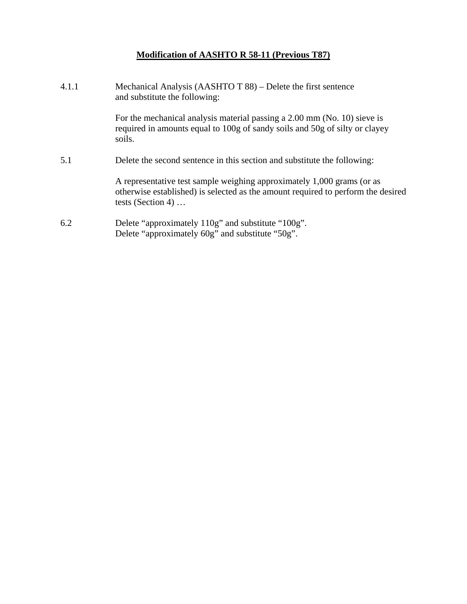# **Modification of AASHTO R 58-11 (Previous T87)**

| 4.1.1 | Mechanical Analysis (AASHTO T 88) – Delete the first sentence<br>and substitute the following:                                                                                  |
|-------|---------------------------------------------------------------------------------------------------------------------------------------------------------------------------------|
|       | For the mechanical analysis material passing a 2.00 mm (No. 10) sieve is<br>required in amounts equal to 100g of sandy soils and 50g of silty or clayey<br>soils.               |
| 5.1   | Delete the second sentence in this section and substitute the following:                                                                                                        |
|       | A representative test sample weighing approximately 1,000 grams (or as<br>otherwise established) is selected as the amount required to perform the desired<br>tests (Section 4) |
| 6.2   | Delete "approximately 110g" and substitute "100g".<br>Delete "approximately 60g" and substitute "50g".                                                                          |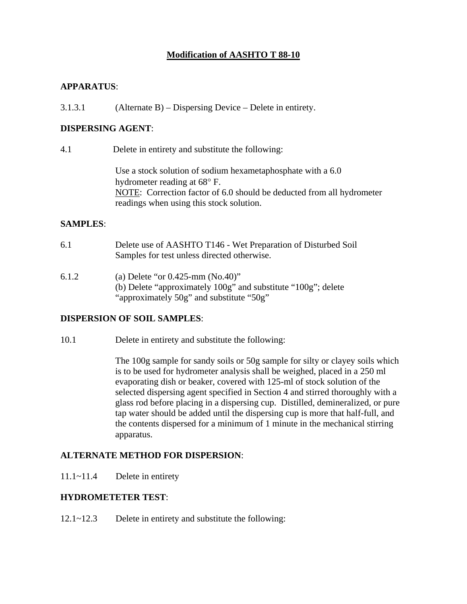# **Modification of AASHTO T 88-10**

#### **APPARATUS**:

3.1.3.1 (Alternate B) – Dispersing Device – Delete in entirety.

#### **DISPERSING AGENT**:

4.1 Delete in entirety and substitute the following:

 Use a stock solution of sodium hexametaphosphate with a 6.0 hydrometer reading at  $68^{\circ}$  F. NOTE: Correction factor of 6.0 should be deducted from all hydrometer readings when using this stock solution.

#### **SAMPLES**:

- 6.1 Delete use of AASHTO T146 Wet Preparation of Disturbed Soil Samples for test unless directed otherwise.
- 6.1.2 (a) Delete "or 0.425-mm (No.40)" (b) Delete "approximately 100g" and substitute "100g"; delete "approximately 50g" and substitute "50g"

#### **DISPERSION OF SOIL SAMPLES**:

10.1 Delete in entirety and substitute the following:

The 100g sample for sandy soils or 50g sample for silty or clayey soils which is to be used for hydrometer analysis shall be weighed, placed in a 250 ml evaporating dish or beaker, covered with 125-ml of stock solution of the selected dispersing agent specified in Section 4 and stirred thoroughly with a glass rod before placing in a dispersing cup. Distilled, demineralized, or pure tap water should be added until the dispersing cup is more that half-full, and the contents dispersed for a minimum of 1 minute in the mechanical stirring apparatus.

#### **ALTERNATE METHOD FOR DISPERSION**:

11.1~11.4 Delete in entirety

#### **HYDROMETETER TEST**:

12.1~12.3 Delete in entirety and substitute the following: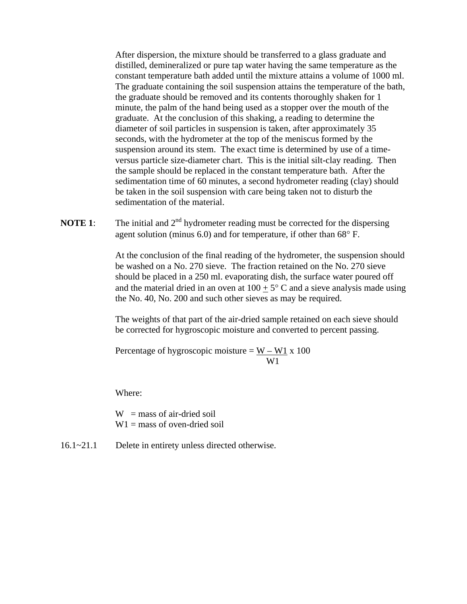After dispersion, the mixture should be transferred to a glass graduate and distilled, demineralized or pure tap water having the same temperature as the constant temperature bath added until the mixture attains a volume of 1000 ml. The graduate containing the soil suspension attains the temperature of the bath, the graduate should be removed and its contents thoroughly shaken for 1 minute, the palm of the hand being used as a stopper over the mouth of the graduate. At the conclusion of this shaking, a reading to determine the diameter of soil particles in suspension is taken, after approximately 35 seconds, with the hydrometer at the top of the meniscus formed by the suspension around its stem. The exact time is determined by use of a timeversus particle size-diameter chart. This is the initial silt-clay reading. Then the sample should be replaced in the constant temperature bath. After the sedimentation time of 60 minutes, a second hydrometer reading (clay) should be taken in the soil suspension with care being taken not to disturb the sedimentation of the material.

**NOTE 1:** The initial and  $2<sup>nd</sup>$  hydrometer reading must be corrected for the dispersing agent solution (minus 6.0) and for temperature, if other than  $68^{\circ}$  F.

> At the conclusion of the final reading of the hydrometer, the suspension should be washed on a No. 270 sieve. The fraction retained on the No. 270 sieve should be placed in a 250 ml. evaporating dish, the surface water poured off and the material dried in an oven at  $100 + 5^{\circ}$  C and a sieve analysis made using the No. 40, No. 200 and such other sieves as may be required.

 The weights of that part of the air-dried sample retained on each sieve should be corrected for hygroscopic moisture and converted to percent passing.

Percentage of hygroscopic moisture =  $W - W1 x 100$ W1

Where:

 $W =$  mass of air-dried soil  $W1 =$  mass of oven-dried soil

16.1~21.1 Delete in entirety unless directed otherwise.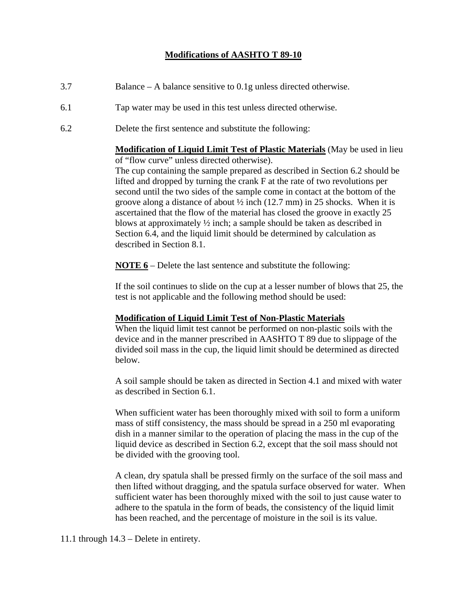# **Modifications of AASHTO T 89-10**

- 3.7 Balance A balance sensitive to 0.1g unless directed otherwise.
- 6.1 Tap water may be used in this test unless directed otherwise.
- 6.2 Delete the first sentence and substitute the following:

**Modification of Liquid Limit Test of Plastic Materials** (May be used in lieu of "flow curve" unless directed otherwise). The cup containing the sample prepared as described in Section 6.2 should be lifted and dropped by turning the crank F at the rate of two revolutions per

second until the two sides of the sample come in contact at the bottom of the groove along a distance of about  $\frac{1}{2}$  inch (12.7 mm) in 25 shocks. When it is ascertained that the flow of the material has closed the groove in exactly 25 blows at approximately ½ inch; a sample should be taken as described in Section 6.4, and the liquid limit should be determined by calculation as described in Section 8.1.

**NOTE 6** – Delete the last sentence and substitute the following:

If the soil continues to slide on the cup at a lesser number of blows that 25, the test is not applicable and the following method should be used:

#### **Modification of Liquid Limit Test of Non-Plastic Materials**

When the liquid limit test cannot be performed on non-plastic soils with the device and in the manner prescribed in AASHTO T 89 due to slippage of the divided soil mass in the cup, the liquid limit should be determined as directed below.

A soil sample should be taken as directed in Section 4.1 and mixed with water as described in Section 6.1.

When sufficient water has been thoroughly mixed with soil to form a uniform mass of stiff consistency, the mass should be spread in a 250 ml evaporating dish in a manner similar to the operation of placing the mass in the cup of the liquid device as described in Section 6.2, except that the soil mass should not be divided with the grooving tool.

A clean, dry spatula shall be pressed firmly on the surface of the soil mass and then lifted without dragging, and the spatula surface observed for water. When sufficient water has been thoroughly mixed with the soil to just cause water to adhere to the spatula in the form of beads, the consistency of the liquid limit has been reached, and the percentage of moisture in the soil is its value.

11.1 through 14.3 – Delete in entirety.